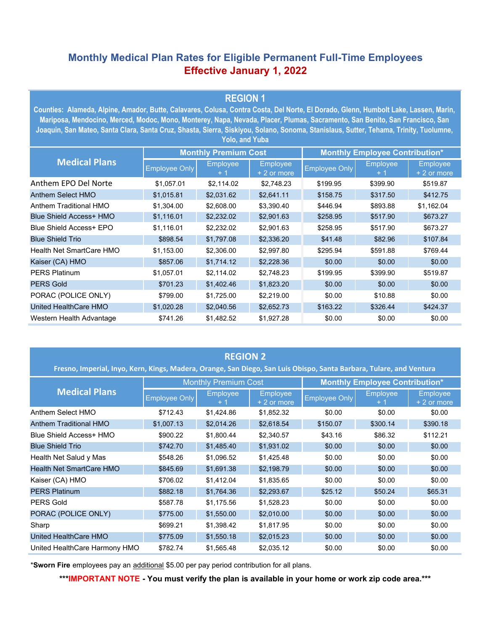## **Monthly Medical Plan Rates for Eligible Permanent Full-Time Employees Effective January 1, 2022**

## **REGION 1**

**Counties: Alameda, Alpine, Amador, Butte, Calavares, Colusa, Contra Costa, Del Norte, El Dorado, Glenn, Humbolt Lake, Lassen, Marin, Mariposa, Mendocino, Merced, Modoc, Mono, Monterey, Napa, Nevada, Placer, Plumas, Sacramento, San Benito, San Francisco, San Joaquin, San Mateo, Santa Clara, Santa Cruz, Shasta, Sierra, Siskiyou, Solano, Sonoma, Stanislaus, Sutter, Tehama, Trinity, Tuolumne, Yolo, and Yuba**

| <b>Medical Plans</b>     | <b>Monthly Premium Cost</b> |                         |                                | <b>Monthly Employee Contribution*</b> |                         |                                |  |
|--------------------------|-----------------------------|-------------------------|--------------------------------|---------------------------------------|-------------------------|--------------------------------|--|
|                          | <b>Employee Only</b>        | <b>Employee</b><br>$+1$ | <b>Employee</b><br>+ 2 or more | <b>Employee Only</b>                  | <b>Employee</b><br>$+1$ | <b>Employee</b><br>+ 2 or more |  |
| Anthem EPO Del Norte     | \$1,057.01                  | \$2.114.02              | \$2,748.23                     | \$199.95                              | \$399.90                | \$519.87                       |  |
| Anthem Select HMO        | \$1,015.81                  | \$2,031.62              | \$2,641.11                     | \$158.75                              | \$317.50                | \$412.75                       |  |
| Anthem Traditional HMO   | \$1,304.00                  | \$2,608.00              | \$3,390.40                     | \$446.94                              | \$893.88                | \$1,162.04                     |  |
| Blue Shield Access+ HMO  | \$1,116.01                  | \$2,232.02              | \$2,901.63                     | \$258.95                              | \$517.90                | \$673.27                       |  |
| Blue Shield Access+ EPO  | \$1,116.01                  | \$2,232.02              | \$2,901.63                     | \$258.95                              | \$517.90                | \$673.27                       |  |
| <b>Blue Shield Trio</b>  | \$898.54                    | \$1,797.08              | \$2,336.20                     | \$41.48                               | \$82.96                 | \$107.84                       |  |
| Health Net SmartCare HMO | \$1,153.00                  | \$2,306.00              | \$2,997.80                     | \$295.94                              | \$591.88                | \$769.44                       |  |
| Kaiser (CA) HMO          | \$857.06                    | \$1,714.12              | \$2,228.36                     | \$0.00                                | \$0.00                  | \$0.00                         |  |
| <b>PERS Platinum</b>     | \$1,057.01                  | \$2,114.02              | \$2.748.23                     | \$199.95                              | \$399.90                | \$519.87                       |  |
| <b>PERS Gold</b>         | \$701.23                    | \$1,402.46              | \$1,823.20                     | \$0.00                                | \$0.00                  | \$0.00                         |  |
| PORAC (POLICE ONLY)      | \$799.00                    | \$1,725.00              | \$2,219.00                     | \$0.00                                | \$10.88                 | \$0.00                         |  |
| United HealthCare HMO    | \$1,020.28                  | \$2,040.56              | \$2,652.73                     | \$163.22                              | \$326.44                | \$424.37                       |  |
| Western Health Advantage | \$741.26                    | \$1.482.52              | \$1,927.28                     | \$0.00                                | \$0.00                  | \$0.00                         |  |

| <b>REGION 2</b><br>Fresno, Imperial, Inyo, Kern, Kings, Madera, Orange, San Diego, San Luis Obispo, Santa Barbara, Tulare, and Ventura |                             |                 |                                |                                       |                 |                                |  |  |
|----------------------------------------------------------------------------------------------------------------------------------------|-----------------------------|-----------------|--------------------------------|---------------------------------------|-----------------|--------------------------------|--|--|
| <b>Medical Plans</b>                                                                                                                   | <b>Monthly Premium Cost</b> |                 |                                | <b>Monthly Employee Contribution*</b> |                 |                                |  |  |
|                                                                                                                                        | <b>Employee Only</b>        | <b>Employee</b> | <b>Employee</b><br>+ 2 or more | <b>Employee Only</b>                  | <b>Employee</b> | <b>Employee</b><br>+ 2 or more |  |  |
| Anthem Select HMO                                                                                                                      | \$712.43                    | \$1,424.86      | \$1,852.32                     | \$0.00                                | \$0.00          | \$0.00                         |  |  |
| <b>Anthem Traditional HMO</b>                                                                                                          | \$1,007.13                  | \$2,014.26      | \$2,618.54                     | \$150.07                              | \$300.14        | \$390.18                       |  |  |
| Blue Shield Access+ HMO                                                                                                                | \$900.22                    | \$1,800.44      | \$2,340.57                     | \$43.16                               | \$86.32         | \$112.21                       |  |  |
| <b>Blue Shield Trio</b>                                                                                                                | \$742.70                    | \$1,485.40      | \$1,931.02                     | \$0.00                                | \$0.00          | \$0.00                         |  |  |
| Health Net Salud y Mas                                                                                                                 | \$548.26                    | \$1,096.52      | \$1,425.48                     | \$0.00                                | \$0.00          | \$0.00                         |  |  |
| Health Net SmartCare HMO                                                                                                               | \$845.69                    | \$1,691.38      | \$2,198.79                     | \$0.00                                | \$0.00          | \$0.00                         |  |  |
| Kaiser (CA) HMO                                                                                                                        | \$706.02                    | \$1,412.04      | \$1,835.65                     | \$0.00                                | \$0.00          | \$0.00                         |  |  |
| <b>PERS Platinum</b>                                                                                                                   | \$882.18                    | \$1,764.36      | \$2,293.67                     | \$25.12                               | \$50.24         | \$65.31                        |  |  |
| <b>PERS Gold</b>                                                                                                                       | \$587.78                    | \$1,175.56      | \$1,528.23                     | \$0.00                                | \$0.00          | \$0.00                         |  |  |
| PORAC (POLICE ONLY)                                                                                                                    | \$775.00                    | \$1,550.00      | \$2,010.00                     | \$0.00                                | \$0.00          | \$0.00                         |  |  |
| Sharp                                                                                                                                  | \$699.21                    | \$1,398.42      | \$1,817.95                     | \$0.00                                | \$0.00          | \$0.00                         |  |  |
| United HealthCare HMO                                                                                                                  | \$775.09                    | \$1,550.18      | \$2,015.23                     | \$0.00                                | \$0.00          | \$0.00                         |  |  |
| United HealthCare Harmony HMO                                                                                                          | \$782.74                    | \$1,565.48      | \$2,035.12                     | \$0.00                                | \$0.00          | \$0.00                         |  |  |

\***Sworn Fire** employees pay an additional \$5.00 per pay period contribution for all plans.

**\*\*\*IMPORTANT NOTE - You must verify the plan is available in your home or work zip code area.\*\*\***